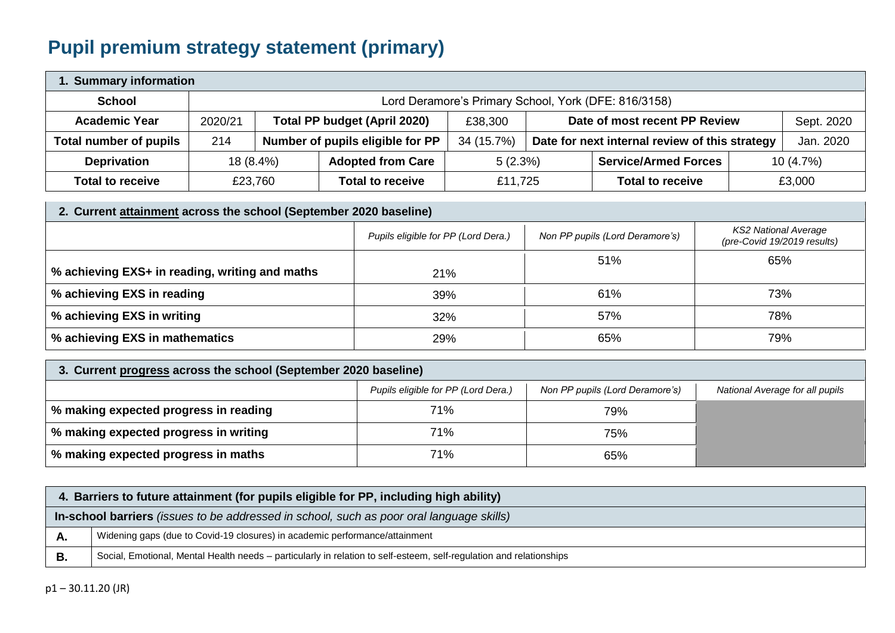## **Pupil premium strategy statement (primary)**

| 1. Summary information  |                                                      |         |                                     |            |                                                             |                             |  |           |
|-------------------------|------------------------------------------------------|---------|-------------------------------------|------------|-------------------------------------------------------------|-----------------------------|--|-----------|
| <b>School</b>           | Lord Deramore's Primary School, York (DFE: 816/3158) |         |                                     |            |                                                             |                             |  |           |
| <b>Academic Year</b>    | 2020/21                                              |         | <b>Total PP budget (April 2020)</b> | £38,300    | Date of most recent PP Review<br>Sept. 2020                 |                             |  |           |
| Total number of pupils  | 214                                                  |         | Number of pupils eligible for PP    | 34 (15.7%) | Date for next internal review of this strategy<br>Jan. 2020 |                             |  |           |
| <b>Deprivation</b>      | $18(8.4\%)$                                          |         | <b>Adopted from Care</b>            | $5(2.3\%)$ |                                                             | <b>Service/Armed Forces</b> |  | 10 (4.7%) |
| <b>Total to receive</b> |                                                      | £23,760 | <b>Total to receive</b>             | £11.725    |                                                             | <b>Total to receive</b>     |  | £3,000    |

| 2. Current attainment across the school (September 2020 baseline) |                                     |                                 |                                                            |  |  |  |
|-------------------------------------------------------------------|-------------------------------------|---------------------------------|------------------------------------------------------------|--|--|--|
|                                                                   | Pupils eligible for PP (Lord Dera.) | Non PP pupils (Lord Deramore's) | <b>KS2 National Average</b><br>(pre-Covid 19/2019 results) |  |  |  |
|                                                                   |                                     | 51%                             | 65%                                                        |  |  |  |
| % achieving EXS+ in reading, writing and maths                    | 21%                                 |                                 |                                                            |  |  |  |
| % achieving EXS in reading                                        | 39%                                 | 61%                             | 73%                                                        |  |  |  |
| % achieving EXS in writing                                        | 32%                                 | 57%                             | 78%                                                        |  |  |  |
| % achieving EXS in mathematics                                    | 29%                                 | 65%                             | 79%                                                        |  |  |  |

| 3. Current progress across the school (September 2020 baseline) |  |
|-----------------------------------------------------------------|--|
|-----------------------------------------------------------------|--|

|                                       | Pupils eligible for PP (Lord Dera.) | Non PP pupils (Lord Deramore's) | National Average for all pupils |
|---------------------------------------|-------------------------------------|---------------------------------|---------------------------------|
| % making expected progress in reading | 71%                                 | 79%                             |                                 |
| % making expected progress in writing | 71%                                 | 75%                             |                                 |
| % making expected progress in maths   | 71%                                 | 65%                             |                                 |

| 4. Barriers to future attainment (for pupils eligible for PP, including high ability) |                                                                                                                     |  |  |  |
|---------------------------------------------------------------------------------------|---------------------------------------------------------------------------------------------------------------------|--|--|--|
|                                                                                       | In-school barriers (issues to be addressed in school, such as poor oral language skills)                            |  |  |  |
| л.                                                                                    | Widening gaps (due to Covid-19 closures) in academic performance/attainment                                         |  |  |  |
|                                                                                       | Social, Emotional, Mental Health needs - particularly in relation to self-esteem, self-regulation and relationships |  |  |  |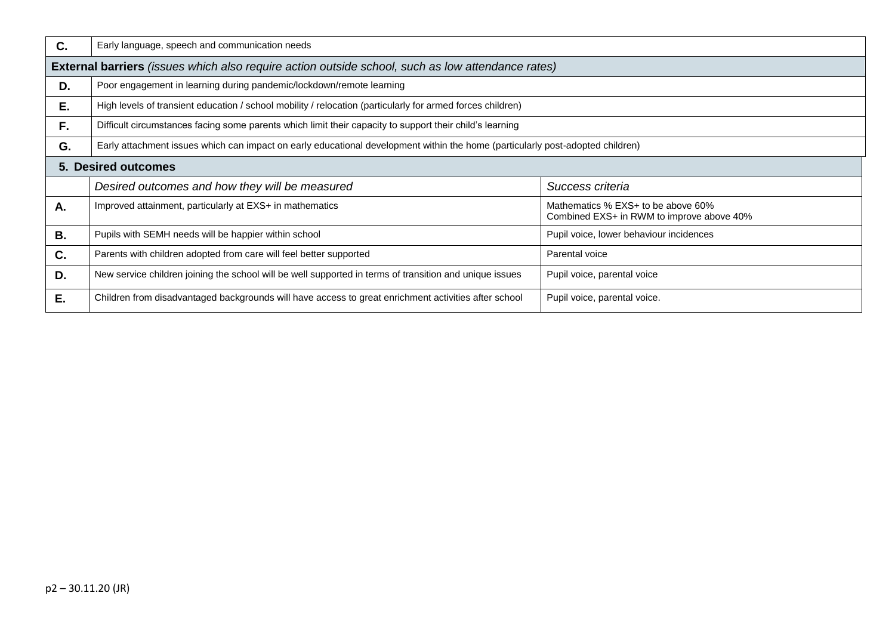| C.        | Early language, speech and communication needs                                                                                 |                                                                                 |  |  |  |
|-----------|--------------------------------------------------------------------------------------------------------------------------------|---------------------------------------------------------------------------------|--|--|--|
|           | External barriers (issues which also require action outside school, such as low attendance rates)                              |                                                                                 |  |  |  |
| D.        | Poor engagement in learning during pandemic/lockdown/remote learning                                                           |                                                                                 |  |  |  |
| E.        | High levels of transient education / school mobility / relocation (particularly for armed forces children)                     |                                                                                 |  |  |  |
| F.        | Difficult circumstances facing some parents which limit their capacity to support their child's learning                       |                                                                                 |  |  |  |
| G.        | Early attachment issues which can impact on early educational development within the home (particularly post-adopted children) |                                                                                 |  |  |  |
|           | 5. Desired outcomes                                                                                                            |                                                                                 |  |  |  |
|           | Desired outcomes and how they will be measured                                                                                 | Success criteria                                                                |  |  |  |
| A.        | Improved attainment, particularly at EXS+ in mathematics                                                                       | Mathematics % EXS+ to be above 60%<br>Combined EXS+ in RWM to improve above 40% |  |  |  |
| <b>B.</b> | Pupils with SEMH needs will be happier within school                                                                           | Pupil voice, lower behaviour incidences                                         |  |  |  |
| C.        | Parents with children adopted from care will feel better supported                                                             | Parental voice                                                                  |  |  |  |
| D.        | New service children joining the school will be well supported in terms of transition and unique issues                        | Pupil voice, parental voice                                                     |  |  |  |
| Ε.        | Children from disadvantaged backgrounds will have access to great enrichment activities after school                           | Pupil voice, parental voice.                                                    |  |  |  |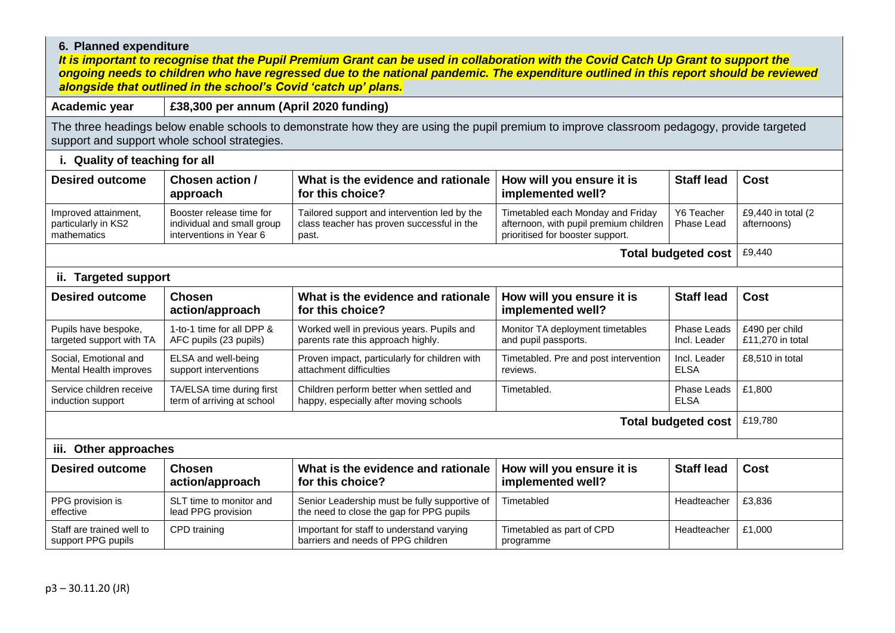## **6. Planned expenditure**

*It is important to recognise that the Pupil Premium Grant can be used in collaboration with the Covid Catch Up Grant to support the ongoing needs to children who have regressed due to the national pandemic. The expenditure outlined in this report should be reviewed alongside that outlined in the school's Covid 'catch up' plans.*

**Academic year £38,300 per annum (April 2020 funding)**

The three headings below enable schools to demonstrate how they are using the pupil premium to improve classroom pedagogy, provide targeted support and support whole school strategies.

| i. Quality of teaching for all                             |                                                                                   |                                                                                                     |                                                                                                                 |                             |                                    |  |  |
|------------------------------------------------------------|-----------------------------------------------------------------------------------|-----------------------------------------------------------------------------------------------------|-----------------------------------------------------------------------------------------------------------------|-----------------------------|------------------------------------|--|--|
| <b>Desired outcome</b>                                     | Chosen action /<br>approach                                                       | What is the evidence and rationale<br>for this choice?                                              | How will you ensure it is<br>implemented well?                                                                  | <b>Staff lead</b>           | <b>Cost</b>                        |  |  |
| Improved attainment,<br>particularly in KS2<br>mathematics | Booster release time for<br>individual and small group<br>interventions in Year 6 | Tailored support and intervention led by the<br>class teacher has proven successful in the<br>past. | Timetabled each Monday and Friday<br>afternoon, with pupil premium children<br>prioritised for booster support. | Y6 Teacher<br>Phase Lead    | £9,440 in total (2<br>afternoons)  |  |  |
|                                                            |                                                                                   |                                                                                                     |                                                                                                                 | <b>Total budgeted cost</b>  | £9,440                             |  |  |
| ii. Targeted support                                       |                                                                                   |                                                                                                     |                                                                                                                 |                             |                                    |  |  |
| <b>Desired outcome</b>                                     | <b>Chosen</b><br>action/approach                                                  | What is the evidence and rationale<br>for this choice?                                              | How will you ensure it is<br>implemented well?                                                                  | <b>Staff lead</b>           | <b>Cost</b>                        |  |  |
| Pupils have bespoke,<br>targeted support with TA           | 1-to-1 time for all DPP &<br>AFC pupils (23 pupils)                               | Worked well in previous years. Pupils and<br>parents rate this approach highly.                     | Monitor TA deployment timetables<br>and pupil passports.                                                        | Phase Leads<br>Incl. Leader | £490 per child<br>£11,270 in total |  |  |
| Social, Emotional and<br>Mental Health improves            | ELSA and well-being<br>support interventions                                      | Proven impact, particularly for children with<br>attachment difficulties                            | Timetabled. Pre and post intervention<br>reviews.                                                               | Incl. Leader<br><b>ELSA</b> | £8,510 in total                    |  |  |
| Service children receive<br>induction support              | TA/ELSA time during first<br>term of arriving at school                           | Children perform better when settled and<br>happy, especially after moving schools                  | Timetabled.                                                                                                     | Phase Leads<br><b>ELSA</b>  | £1,800                             |  |  |
| <b>Total budgeted cost</b>                                 |                                                                                   |                                                                                                     |                                                                                                                 |                             |                                    |  |  |
| Other approaches<br>iii.                                   |                                                                                   |                                                                                                     |                                                                                                                 |                             |                                    |  |  |
| <b>Desired outcome</b>                                     | <b>Chosen</b><br>action/approach                                                  | What is the evidence and rationale<br>for this choice?                                              | How will you ensure it is<br>implemented well?                                                                  | <b>Staff lead</b>           | <b>Cost</b>                        |  |  |
| PPG provision is<br>effective                              | SLT time to monitor and<br>lead PPG provision                                     | Senior Leadership must be fully supportive of<br>the need to close the gap for PPG pupils           | Timetabled                                                                                                      | Headteacher                 | £3,836                             |  |  |
| Staff are trained well to<br>support PPG pupils            | CPD training                                                                      | Important for staff to understand varying<br>barriers and needs of PPG children                     | Timetabled as part of CPD<br>programme                                                                          | Headteacher                 | £1,000                             |  |  |